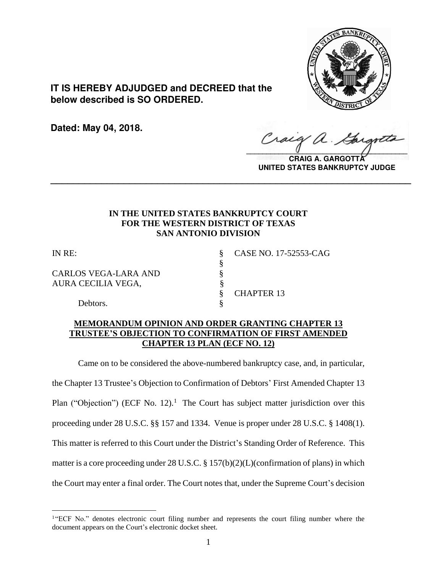

**IT IS HEREBY ADJUDGED and DECREED that the below described is SO ORDERED.**

**Dated: May 04, 2018.**

Craig  $\sqrt{2}$ 

**CRAIG A. GARGOTTA UNITED STATES BANKRUPTCY JUDGE**

# **IN THE UNITED STATES BANKRUPTCY COURT FOR THE WESTERN DISTRICT OF TEXAS SAN ANTONIO DIVISION**

§

**\_\_\_\_\_\_\_\_\_\_\_\_\_\_\_\_\_\_\_\_\_\_\_\_\_\_\_\_\_\_\_\_\_\_\_\_\_\_\_\_\_\_\_\_\_\_\_\_\_\_\_\_\_\_\_\_\_\_\_\_\_\_\_\_**

 $\overline{a}$ 

CARLOS VEGA-LARA AND §<br>AURA CECILIA VEGA, § AURA CECILIA VEGA,

IN RE: § CASE NO. 17-52553-CAG

§ CHAPTER 13

Debtors.

# **MEMORANDUM OPINION AND ORDER GRANTING CHAPTER 13 TRUSTEE'S OBJECTION TO CONFIRMATION OF FIRST AMENDED CHAPTER 13 PLAN (ECF NO. 12)**

Came on to be considered the above-numbered bankruptcy case, and, in particular, the Chapter 13 Trustee's Objection to Confirmation of Debtors' First Amended Chapter 13 Plan ("Objection") (ECF No. 12).<sup>1</sup> The Court has subject matter jurisdiction over this proceeding under 28 U.S.C. §§ 157 and 1334. Venue is proper under 28 U.S.C. § 1408(1). This matter is referred to this Court under the District's Standing Order of Reference. This matter is a core proceeding under 28 U.S.C. § 157(b)(2)(L)(confirmation of plans) in which the Court may enter a final order. The Court notes that, under the Supreme Court's decision

<sup>&</sup>lt;sup>1</sup> ECF No." denotes electronic court filing number and represents the court filing number where the document appears on the Court's electronic docket sheet.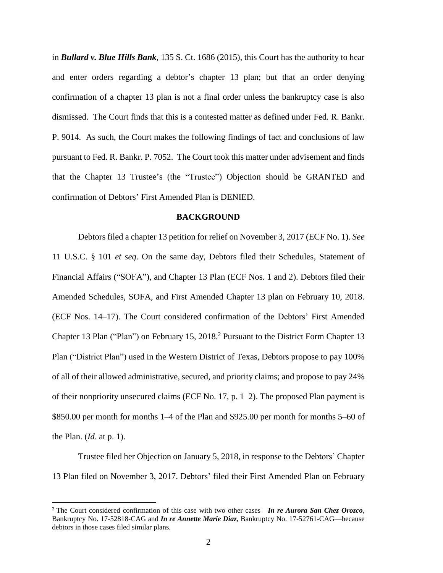in *Bullard v. Blue Hills Bank*, 135 S. Ct. 1686 (2015), this Court has the authority to hear and enter orders regarding a debtor's chapter 13 plan; but that an order denying confirmation of a chapter 13 plan is not a final order unless the bankruptcy case is also dismissed. The Court finds that this is a contested matter as defined under Fed. R. Bankr. P. 9014. As such, the Court makes the following findings of fact and conclusions of law pursuant to Fed. R. Bankr. P. 7052. The Court took this matter under advisement and finds that the Chapter 13 Trustee's (the "Trustee") Objection should be GRANTED and confirmation of Debtors' First Amended Plan is DENIED.

### **BACKGROUND**

Debtors filed a chapter 13 petition for relief on November 3, 2017 (ECF No. 1). *See* 11 U.S.C. § 101 *et seq*. On the same day, Debtors filed their Schedules, Statement of Financial Affairs ("SOFA"), and Chapter 13 Plan (ECF Nos. 1 and 2). Debtors filed their Amended Schedules, SOFA, and First Amended Chapter 13 plan on February 10, 2018. (ECF Nos. 14–17). The Court considered confirmation of the Debtors' First Amended Chapter 13 Plan ("Plan") on February 15, 2018.<sup>2</sup> Pursuant to the District Form Chapter 13 Plan ("District Plan") used in the Western District of Texas, Debtors propose to pay 100% of all of their allowed administrative, secured, and priority claims; and propose to pay 24% of their nonpriority unsecured claims (ECF No. 17, p. 1–2). The proposed Plan payment is \$850.00 per month for months 1–4 of the Plan and \$925.00 per month for months 5–60 of the Plan. (*Id*. at p. 1).

Trustee filed her Objection on January 5, 2018, in response to the Debtors' Chapter 13 Plan filed on November 3, 2017. Debtors' filed their First Amended Plan on February

<sup>2</sup> The Court considered confirmation of this case with two other cases—*In re Aurora San Chez Orozco*, Bankruptcy No. 17-52818-CAG and *In re Annette Marie Diaz*, Bankruptcy No. 17-52761-CAG—because debtors in those cases filed similar plans.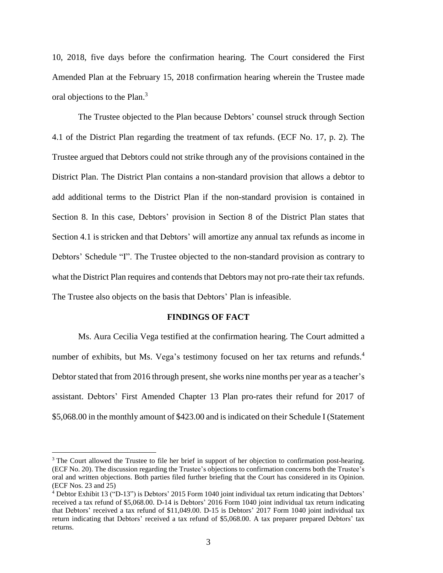10, 2018, five days before the confirmation hearing. The Court considered the First Amended Plan at the February 15, 2018 confirmation hearing wherein the Trustee made oral objections to the Plan.<sup>3</sup>

The Trustee objected to the Plan because Debtors' counsel struck through Section 4.1 of the District Plan regarding the treatment of tax refunds. (ECF No. 17, p. 2). The Trustee argued that Debtors could not strike through any of the provisions contained in the District Plan. The District Plan contains a non-standard provision that allows a debtor to add additional terms to the District Plan if the non-standard provision is contained in Section 8. In this case, Debtors' provision in Section 8 of the District Plan states that Section 4.1 is stricken and that Debtors' will amortize any annual tax refunds as income in Debtors' Schedule "I". The Trustee objected to the non-standard provision as contrary to what the District Plan requires and contends that Debtors may not pro-rate their tax refunds. The Trustee also objects on the basis that Debtors' Plan is infeasible.

#### **FINDINGS OF FACT**

Ms. Aura Cecilia Vega testified at the confirmation hearing. The Court admitted a number of exhibits, but Ms. Vega's testimony focused on her tax returns and refunds.<sup>4</sup> Debtor stated that from 2016 through present, she works nine months per year as a teacher's assistant. Debtors' First Amended Chapter 13 Plan pro-rates their refund for 2017 of \$5,068.00 in the monthly amount of \$423.00 and isindicated on their Schedule I (Statement

<sup>&</sup>lt;sup>3</sup> The Court allowed the Trustee to file her brief in support of her objection to confirmation post-hearing. (ECF No. 20). The discussion regarding the Trustee's objections to confirmation concerns both the Trustee's oral and written objections. Both parties filed further briefing that the Court has considered in its Opinion. (ECF Nos. 23 and 25)

<sup>4</sup> Debtor Exhibit 13 ("D-13") is Debtors' 2015 Form 1040 joint individual tax return indicating that Debtors' received a tax refund of \$5,068.00. D-14 is Debtors' 2016 Form 1040 joint individual tax return indicating that Debtors' received a tax refund of \$11,049.00. D-15 is Debtors' 2017 Form 1040 joint individual tax return indicating that Debtors' received a tax refund of \$5,068.00. A tax preparer prepared Debtors' tax returns.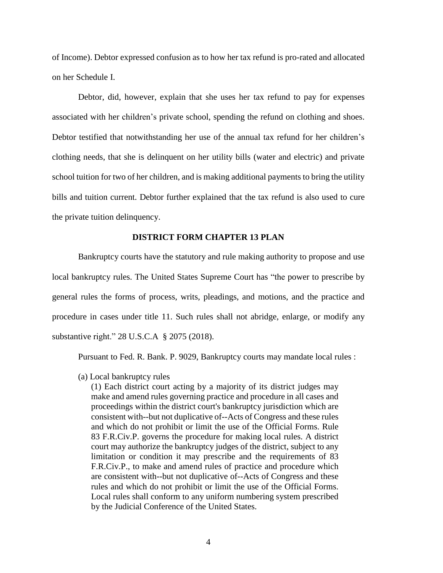of Income). Debtor expressed confusion as to how her tax refund is pro-rated and allocated on her Schedule I.

Debtor, did, however, explain that she uses her tax refund to pay for expenses associated with her children's private school, spending the refund on clothing and shoes. Debtor testified that notwithstanding her use of the annual tax refund for her children's clothing needs, that she is delinquent on her utility bills (water and electric) and private school tuition for two of her children, and is making additional payments to bring the utility bills and tuition current. Debtor further explained that the tax refund is also used to cure the private tuition delinquency.

## **DISTRICT FORM CHAPTER 13 PLAN**

Bankruptcy courts have the statutory and rule making authority to propose and use local bankruptcy rules. The United States Supreme Court has "the power to prescribe by general rules the forms of process, writs, pleadings, and motions, and the practice and procedure in cases under title 11. Such rules shall not abridge, enlarge, or modify any substantive right." 28 U.S.C.A § 2075 (2018).

Pursuant to Fed. R. Bank. P. 9029, Bankruptcy courts may mandate local rules :

(a) Local bankruptcy rules

(1) Each district court acting by a majority of its district judges may make and amend rules governing practice and procedure in all cases and proceedings within the district court's bankruptcy jurisdiction which are consistent with--but not duplicative of--Acts of Congress and these rules and which do not prohibit or limit the use of the Official Forms. [Rule](https://1.next.westlaw.com/Link/Document/FullText?findType=L&pubNum=1000600&cite=USFRCPR83&originatingDoc=ND2D7F9B0B89F11D8983DF34406B5929B&refType=LQ&originationContext=document&transitionType=DocumentItem&contextData=(sc.Category)) 83 [F.R.Civ.P.](https://1.next.westlaw.com/Link/Document/FullText?findType=L&pubNum=1000600&cite=USFRCPR83&originatingDoc=ND2D7F9B0B89F11D8983DF34406B5929B&refType=LQ&originationContext=document&transitionType=DocumentItem&contextData=(sc.Category)) governs the procedure for making local rules. A district court may authorize the bankruptcy judges of the district, subject to any limitation or condition it may prescribe and the requirements of [83](https://1.next.westlaw.com/Link/Document/FullText?findType=L&pubNum=1000600&cite=USFRCPR83&originatingDoc=ND2D7F9B0B89F11D8983DF34406B5929B&refType=LQ&originationContext=document&transitionType=DocumentItem&contextData=(sc.Category)) [F.R.Civ.P.](https://1.next.westlaw.com/Link/Document/FullText?findType=L&pubNum=1000600&cite=USFRCPR83&originatingDoc=ND2D7F9B0B89F11D8983DF34406B5929B&refType=LQ&originationContext=document&transitionType=DocumentItem&contextData=(sc.Category)), to make and amend rules of practice and procedure which are consistent with--but not duplicative of--Acts of Congress and these rules and which do not prohibit or limit the use of the Official Forms. Local rules shall conform to any uniform numbering system prescribed by the Judicial Conference of the United States.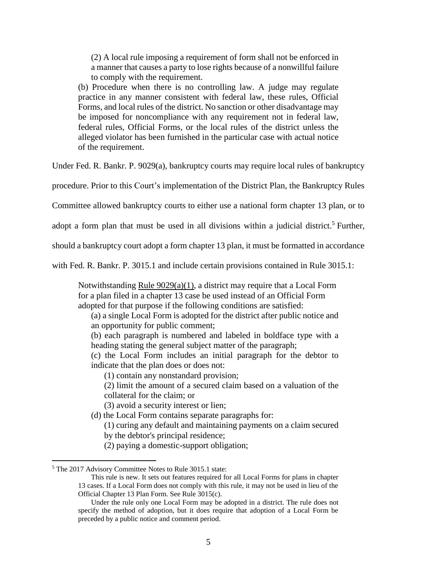(2) A local rule imposing a requirement of form shall not be enforced in a manner that causes a party to lose rights because of a nonwillful failure to comply with the requirement.

(b) Procedure when there is no controlling law. A judge may regulate practice in any manner consistent with federal law, these rules, Official Forms, and local rules of the district. No sanction or other disadvantage may be imposed for noncompliance with any requirement not in federal law, federal rules, Official Forms, or the local rules of the district unless the alleged violator has been furnished in the particular case with actual notice of the requirement.

Under Fed. R. Bankr. P. 9029(a), bankruptcy courts may require local rules of bankruptcy

procedure. Prior to this Court's implementation of the District Plan, the Bankruptcy Rules

Committee allowed bankruptcy courts to either use a national form chapter 13 plan, or to

adopt a form plan that must be used in all divisions within a judicial district.<sup>5</sup> Further,

should a bankruptcy court adopt a form chapter 13 plan, it must be formatted in accordance

with Fed. R. Bankr. P. 3015.1 and include certain provisions contained in Rule 3015.1:

Notwithstanding Rule [9029\(a\)\(1\),](https://1.next.westlaw.com/Link/Document/FullText?findType=L&pubNum=1000611&cite=USFRBPR9029&originatingDoc=NEF6334102F7311E79E73DE9BD41E48D1&refType=RB&originationContext=document&transitionType=DocumentItem&contextData=(sc.Category)#co_pp_7b9b000044381) a district may require that a Local Form for a plan filed in a chapter 13 case be used instead of an Official Form adopted for that purpose if the following conditions are satisfied:

(a) a single Local Form is adopted for the district after public notice and an opportunity for public comment;

(b) each paragraph is numbered and labeled in boldface type with a heading stating the general subject matter of the paragraph;

(c) the Local Form includes an initial paragraph for the debtor to indicate that the plan does or does not:

(1) contain any nonstandard provision;

- (2) limit the amount of a secured claim based on a valuation of the collateral for the claim; or
- (3) avoid a security interest or lien;
- (d) the Local Form contains separate paragraphs for:
	- (1) curing any default and maintaining payments on a claim secured by the debtor's principal residence;
	- (2) paying a domestic-support obligation;

<sup>5</sup> The 2017 Advisory Committee Notes to Rule 3015.1 state:

This rule is new. It sets out features required for all Local Forms for plans in chapter 13 cases. If a Local Form does not comply with this rule, it may not be used in lieu of the Official Chapter 13 Plan Form. See Rule 3015(c).

Under the rule only one Local Form may be adopted in a district. The rule does not specify the method of adoption, but it does require that adoption of a Local Form be preceded by a public notice and comment period.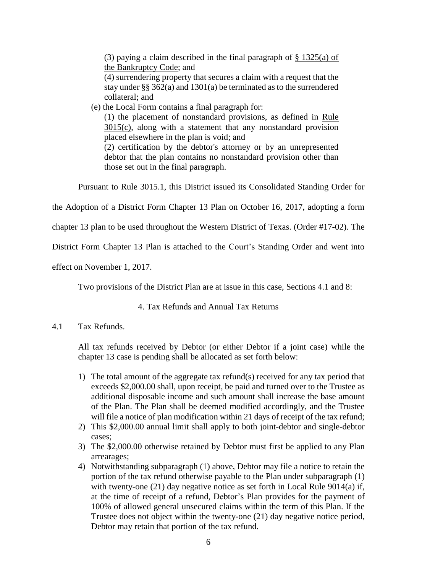(3) paying a claim described in the final paragraph of  $\S$  [1325\(a\)](https://1.next.westlaw.com/Link/Document/FullText?findType=L&pubNum=1000611&cite=11USCAS1325&originatingDoc=NEF6334102F7311E79E73DE9BD41E48D1&refType=RB&originationContext=document&transitionType=DocumentItem&contextData=(sc.Category)#co_pp_8b3b0000958a4) of the [Bankruptcy](https://1.next.westlaw.com/Link/Document/FullText?findType=L&pubNum=1000611&cite=11USCAS1325&originatingDoc=NEF6334102F7311E79E73DE9BD41E48D1&refType=RB&originationContext=document&transitionType=DocumentItem&contextData=(sc.Category)#co_pp_8b3b0000958a4) Code; and

(4) surrendering property that secures a claim with a request that the stay under §§ 362(a) and 1301(a) be terminated as to the surrendered collateral; and

(e) the Local Form contains a final paragraph for:

(1) the placement of nonstandard provisions, as defined in [Rule](https://1.next.westlaw.com/Link/Document/FullText?findType=L&pubNum=1000611&cite=USFRBPR3015&originatingDoc=NEF6334102F7311E79E73DE9BD41E48D1&refType=RB&originationContext=document&transitionType=DocumentItem&contextData=(sc.Category)#co_pp_4b24000003ba5) [3015\(c\),](https://1.next.westlaw.com/Link/Document/FullText?findType=L&pubNum=1000611&cite=USFRBPR3015&originatingDoc=NEF6334102F7311E79E73DE9BD41E48D1&refType=RB&originationContext=document&transitionType=DocumentItem&contextData=(sc.Category)#co_pp_4b24000003ba5) along with a statement that any nonstandard provision placed elsewhere in the plan is void; and

(2) certification by the debtor's attorney or by an unrepresented debtor that the plan contains no nonstandard provision other than those set out in the final paragraph.

Pursuant to Rule 3015.1, this District issued its Consolidated Standing Order for

the Adoption of a District Form Chapter 13 Plan on October 16, 2017, adopting a form

chapter 13 plan to be used throughout the Western District of Texas. (Order #17-02). The

District Form Chapter 13 Plan is attached to the Court's Standing Order and went into

effect on November 1, 2017.

Two provisions of the District Plan are at issue in this case, Sections 4.1 and 8:

# 4. Tax Refunds and Annual Tax Returns

# 4.1 Tax Refunds.

All tax refunds received by Debtor (or either Debtor if a joint case) while the chapter 13 case is pending shall be allocated as set forth below:

- 1) The total amount of the aggregate tax refund(s) received for any tax period that exceeds \$2,000.00 shall, upon receipt, be paid and turned over to the Trustee as additional disposable income and such amount shall increase the base amount of the Plan. The Plan shall be deemed modified accordingly, and the Trustee will file a notice of plan modification within 21 days of receipt of the tax refund;
- 2) This \$2,000.00 annual limit shall apply to both joint-debtor and single-debtor cases;
- 3) The \$2,000.00 otherwise retained by Debtor must first be applied to any Plan arrearages;
- 4) Notwithstanding subparagraph (1) above, Debtor may file a notice to retain the portion of the tax refund otherwise payable to the Plan under subparagraph (1) with twenty-one (21) day negative notice as set forth in Local Rule 9014(a) if, at the time of receipt of a refund, Debtor's Plan provides for the payment of 100% of allowed general unsecured claims within the term of this Plan. If the Trustee does not object within the twenty-one (21) day negative notice period, Debtor may retain that portion of the tax refund.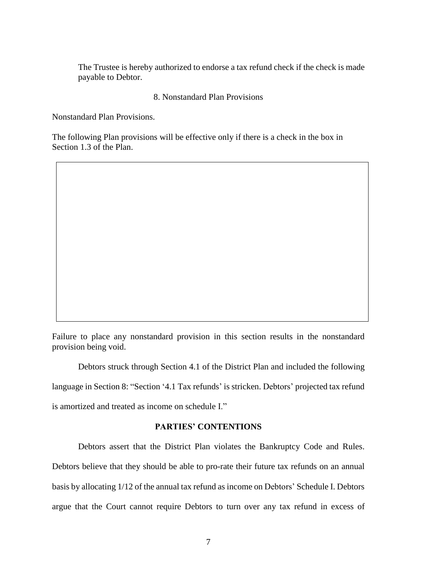The Trustee is hereby authorized to endorse a tax refund check if the check is made payable to Debtor.

## 8. Nonstandard Plan Provisions

Nonstandard Plan Provisions.

The following Plan provisions will be effective only if there is a check in the box in Section 1.3 of the Plan.

Failure to place any nonstandard provision in this section results in the nonstandard provision being void.

Debtors struck through Section 4.1 of the District Plan and included the following language in Section 8: "Section '4.1 Tax refunds' is stricken. Debtors' projected tax refund is amortized and treated as income on schedule I."

## **PARTIES' CONTENTIONS**

Debtors assert that the District Plan violates the Bankruptcy Code and Rules. Debtors believe that they should be able to pro-rate their future tax refunds on an annual basis by allocating 1/12 of the annual tax refund as income on Debtors' Schedule I. Debtors argue that the Court cannot require Debtors to turn over any tax refund in excess of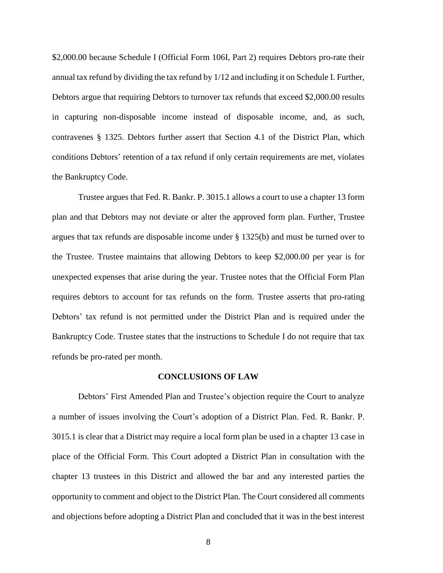\$2,000.00 because Schedule I (Official Form 106I, Part 2) requires Debtors pro-rate their annual tax refund by dividing the tax refund by 1/12 and including it on Schedule I. Further, Debtors argue that requiring Debtors to turnover tax refunds that exceed \$2,000.00 results in capturing non-disposable income instead of disposable income, and, as such, contravenes § 1325. Debtors further assert that Section 4.1 of the District Plan, which conditions Debtors' retention of a tax refund if only certain requirements are met, violates the Bankruptcy Code.

Trustee argues that Fed. R. Bankr. P. 3015.1 allows a court to use a chapter 13 form plan and that Debtors may not deviate or alter the approved form plan. Further, Trustee argues that tax refunds are disposable income under § 1325(b) and must be turned over to the Trustee. Trustee maintains that allowing Debtors to keep \$2,000.00 per year is for unexpected expenses that arise during the year. Trustee notes that the Official Form Plan requires debtors to account for tax refunds on the form. Trustee asserts that pro-rating Debtors' tax refund is not permitted under the District Plan and is required under the Bankruptcy Code. Trustee states that the instructions to Schedule I do not require that tax refunds be pro-rated per month.

#### **CONCLUSIONS OF LAW**

Debtors' First Amended Plan and Trustee's objection require the Court to analyze a number of issues involving the Court's adoption of a District Plan. Fed. R. Bankr. P. 3015.1 is clear that a District may require a local form plan be used in a chapter 13 case in place of the Official Form. This Court adopted a District Plan in consultation with the chapter 13 trustees in this District and allowed the bar and any interested parties the opportunity to comment and object to the District Plan. The Court considered all comments and objections before adopting a District Plan and concluded that it was in the best interest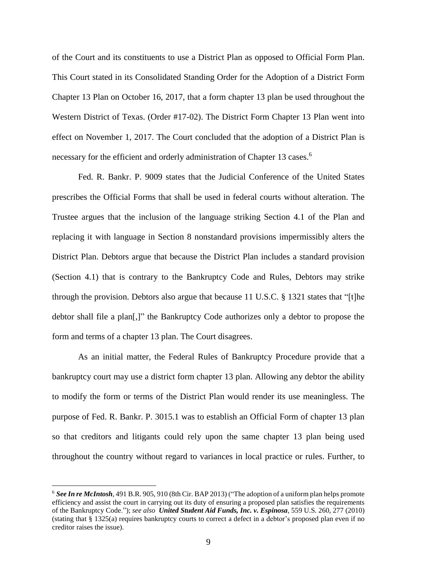of the Court and its constituents to use a District Plan as opposed to Official Form Plan. This Court stated in its Consolidated Standing Order for the Adoption of a District Form Chapter 13 Plan on October 16, 2017, that a form chapter 13 plan be used throughout the Western District of Texas. (Order #17-02). The District Form Chapter 13 Plan went into effect on November 1, 2017. The Court concluded that the adoption of a District Plan is necessary for the efficient and orderly administration of Chapter 13 cases.<sup>6</sup>

Fed. R. Bankr. P. 9009 states that the Judicial Conference of the United States prescribes the Official Forms that shall be used in federal courts without alteration. The Trustee argues that the inclusion of the language striking Section 4.1 of the Plan and replacing it with language in Section 8 nonstandard provisions impermissibly alters the District Plan. Debtors argue that because the District Plan includes a standard provision (Section 4.1) that is contrary to the Bankruptcy Code and Rules, Debtors may strike through the provision. Debtors also argue that because 11 U.S.C. § 1321 states that "[t]he debtor shall file a plan[,]" the Bankruptcy Code authorizes only a debtor to propose the form and terms of a chapter 13 plan. The Court disagrees.

As an initial matter, the Federal Rules of Bankruptcy Procedure provide that a bankruptcy court may use a district form chapter 13 plan. Allowing any debtor the ability to modify the form or terms of the District Plan would render its use meaningless. The purpose of Fed. R. Bankr. P. 3015.1 was to establish an Official Form of chapter 13 plan so that creditors and litigants could rely upon the same chapter 13 plan being used throughout the country without regard to variances in local practice or rules. Further, to

<sup>6</sup> *See In re McIntosh*, 491 B.R. 905, 910 (8th Cir. BAP 2013) ("The adoption of a uniform plan helps promote efficiency and assist the court in carrying out its duty of ensuring a proposed plan satisfies the requirements of the Bankruptcy Code."); *see also United Student Aid Funds, Inc. v. Espinosa*, 559 U.S. 260, 277 (2010) (stating that § 1325(a) requires bankruptcy courts to correct a defect in a debtor's proposed plan even if no creditor raises the issue).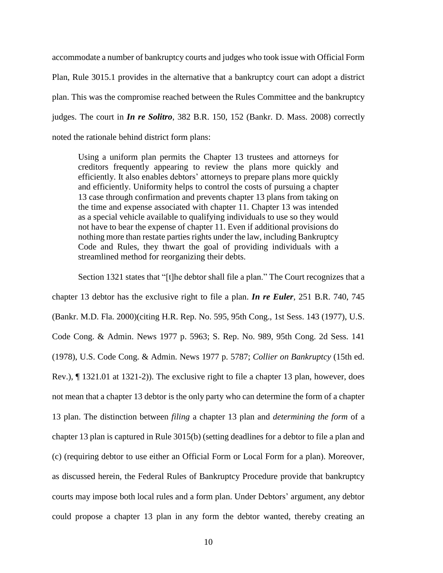accommodate a number of bankruptcy courts and judges who took issue with Official Form Plan, Rule 3015.1 provides in the alternative that a bankruptcy court can adopt a district plan. This was the compromise reached between the Rules Committee and the bankruptcy judges. The court in *In re Solitro*, 382 B.R. 150, 152 (Bankr. D. Mass. 2008) correctly noted the rationale behind district form plans:

Using a uniform plan permits the Chapter 13 trustees and attorneys for creditors frequently appearing to review the plans more quickly and efficiently. It also enables debtors' attorneys to prepare plans more quickly and efficiently. Uniformity helps to control the costs of pursuing a chapter 13 case through confirmation and prevents chapter 13 plans from taking on the time and expense associated with chapter 11. Chapter 13 was intended as a special vehicle available to qualifying individuals to use so they would not have to bear the expense of chapter 11. Even if additional provisions do nothing more than restate parties rights under the law, including Bankruptcy Code and Rules, they thwart the goal of providing individuals with a streamlined method for reorganizing their debts.

Section 1321 states that "[t]he debtor shall file a plan." The Court recognizes that a

chapter 13 debtor has the exclusive right to file a plan. *In re Euler*, 251 B.R. 740, 745 (Bankr. M.D. Fla. 2000)(citing H.R. Rep. No. 595, 95th Cong., 1st Sess. 143 (1977), U.S. Code Cong. & Admin. News 1977 p. 5963; S. Rep. No. 989, 95th Cong. 2d Sess. 141 (1978), U.S. Code Cong. & Admin. News 1977 p. 5787; *Collier on Bankruptcy* (15th ed. Rev.), ¶ 1321.01 at 1321-2)). The exclusive right to file a chapter 13 plan, however, does not mean that a chapter 13 debtor is the only party who can determine the form of a chapter 13 plan. The distinction between *filing* a chapter 13 plan and *determining the form* of a chapter 13 plan is captured in Rule 3015(b) (setting deadlines for a debtor to file a plan and (c) (requiring debtor to use either an Official Form or Local Form for a plan). Moreover, as discussed herein, the Federal Rules of Bankruptcy Procedure provide that bankruptcy courts may impose both local rules and a form plan. Under Debtors' argument, any debtor could propose a chapter 13 plan in any form the debtor wanted, thereby creating an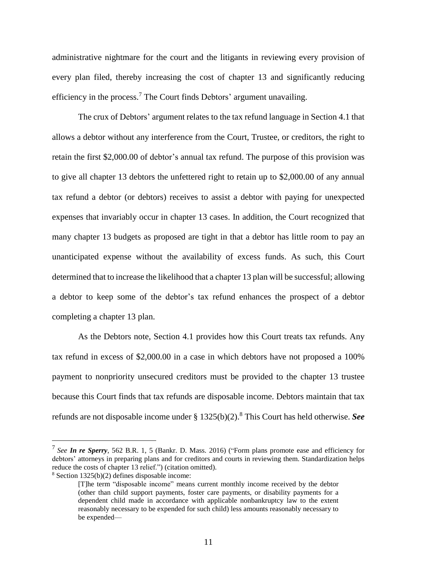administrative nightmare for the court and the litigants in reviewing every provision of every plan filed, thereby increasing the cost of chapter 13 and significantly reducing efficiency in the process.<sup>7</sup> The Court finds Debtors' argument unavailing.

The crux of Debtors' argument relates to the tax refund language in Section 4.1 that allows a debtor without any interference from the Court, Trustee, or creditors, the right to retain the first \$2,000.00 of debtor's annual tax refund. The purpose of this provision was to give all chapter 13 debtors the unfettered right to retain up to \$2,000.00 of any annual tax refund a debtor (or debtors) receives to assist a debtor with paying for unexpected expenses that invariably occur in chapter 13 cases. In addition, the Court recognized that many chapter 13 budgets as proposed are tight in that a debtor has little room to pay an unanticipated expense without the availability of excess funds. As such, this Court determined that to increase the likelihood that a chapter 13 plan will be successful; allowing a debtor to keep some of the debtor's tax refund enhances the prospect of a debtor completing a chapter 13 plan.

As the Debtors note, Section 4.1 provides how this Court treats tax refunds. Any tax refund in excess of \$2,000.00 in a case in which debtors have not proposed a 100% payment to nonpriority unsecured creditors must be provided to the chapter 13 trustee because this Court finds that tax refunds are disposable income. Debtors maintain that tax refunds are not disposable income under § 1325(b)(2).<sup>8</sup> This Court has held otherwise. *See*

<sup>8</sup> Section 1325(b)(2) defines disposable income:

<sup>7</sup> *See In re Sperry*, 562 B.R. 1, 5 (Bankr. D. Mass. 2016) ("Form plans promote ease and efficiency for debtors' attorneys in preparing plans and for creditors and courts in reviewing them. Standardization helps reduce the costs of chapter 13 relief.") (citation omitted).

<sup>[</sup>T]he term "disposable income" means current monthly income received by the debtor (other than child support payments, foster care payments, or disability payments for a dependent child made in accordance with applicable nonbankruptcy law to the extent reasonably necessary to be expended for such child) less amounts reasonably necessary to be expended—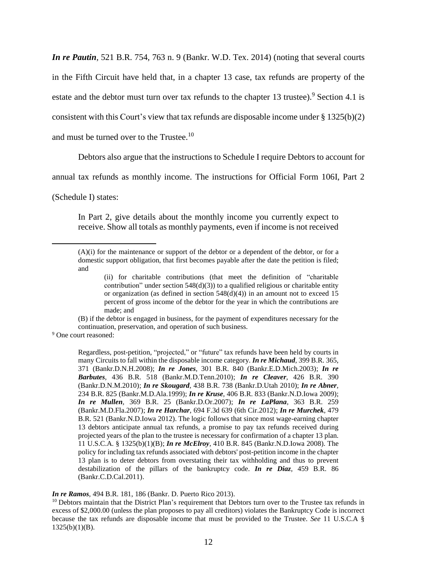*In re Pautin*, 521 B.R. 754, 763 n. 9 (Bankr. W.D. Tex. 2014) (noting that several courts in the Fifth Circuit have held that, in a chapter 13 case, tax refunds are property of the estate and the debtor must turn over tax refunds to the chapter 13 trustee).<sup>9</sup> Section 4.1 is consistent with this Court's view that tax refunds are disposable income under  $\S 1325(b)(2)$ and must be turned over to the Trustee. $^{10}$ 

Debtors also argue that the instructions to Schedule I require Debtors to account for

annual tax refunds as monthly income. The instructions for Official Form 106I, Part 2

(Schedule I) states:

 $\overline{a}$ 

In Part 2, give details about the monthly income you currently expect to receive. Show all totals as monthly payments, even if income is not received

<sup>9</sup> One court reasoned:

Regardless, post-petition, "projected," or "future" tax refunds have been held by courts in many Circuits to fall within the disposable income category. *In re [Michaud](https://1.next.westlaw.com/Link/Document/FullText?findType=Y&serNum=2017827451&pubNum=0000164&originatingDoc=I7a78de53cd7711e28501bda794601919&refType=RP&fi=co_pp_sp_164_371&originationContext=document&transitionType=DocumentItem&contextData=(sc.Search)#co_pp_sp_164_371),* 399 B.R. 365, 371 [\(Bankr.D.N.H.2008\);](https://1.next.westlaw.com/Link/Document/FullText?findType=Y&serNum=2017827451&pubNum=0000164&originatingDoc=I7a78de53cd7711e28501bda794601919&refType=RP&fi=co_pp_sp_164_371&originationContext=document&transitionType=DocumentItem&contextData=(sc.Search)#co_pp_sp_164_371) *In re Jones,* 301 B.R. 840 [\(Bankr.E.D.Mich.2003\);](https://1.next.westlaw.com/Link/Document/FullText?findType=Y&serNum=2003914022&pubNum=0000164&originatingDoc=I7a78de53cd7711e28501bda794601919&refType=RP&originationContext=document&transitionType=DocumentItem&contextData=(sc.Search)) *[In](https://1.next.westlaw.com/Link/Document/FullText?findType=Y&serNum=2022966037&pubNum=0000164&originatingDoc=I7a78de53cd7711e28501bda794601919&refType=RP&originationContext=document&transitionType=DocumentItem&contextData=(sc.Search)) re Barbutes,* 436 B.R. 518 [\(Bankr.M.D.Tenn.2010\);](https://1.next.westlaw.com/Link/Document/FullText?findType=Y&serNum=2022966037&pubNum=0000164&originatingDoc=I7a78de53cd7711e28501bda794601919&refType=RP&originationContext=document&transitionType=DocumentItem&contextData=(sc.Search)) *In re [Cleaver](https://1.next.westlaw.com/Link/Document/FullText?findType=Y&serNum=2021613895&pubNum=0000164&originatingDoc=I7a78de53cd7711e28501bda794601919&refType=RP&originationContext=document&transitionType=DocumentItem&contextData=(sc.Search)),* 426 B.R. 390 [\(Bankr.D.N.M.2010\);](https://1.next.westlaw.com/Link/Document/FullText?findType=Y&serNum=2021613895&pubNum=0000164&originatingDoc=I7a78de53cd7711e28501bda794601919&refType=RP&originationContext=document&transitionType=DocumentItem&contextData=(sc.Search)) *In re Skougard,* 438 B.R. 738 [\(Bankr.D.Utah](https://1.next.westlaw.com/Link/Document/FullText?findType=Y&serNum=2023607670&pubNum=0000164&originatingDoc=I7a78de53cd7711e28501bda794601919&refType=RP&originationContext=document&transitionType=DocumentItem&contextData=(sc.Search)) 2010); *In re [Abner](https://1.next.westlaw.com/Link/Document/FullText?findType=Y&serNum=1999143321&pubNum=0000164&originatingDoc=I7a78de53cd7711e28501bda794601919&refType=RP&originationContext=document&transitionType=DocumentItem&contextData=(sc.Search)),* 234 B.R. 825 [\(Bankr.M.D.Ala.1999\);](https://1.next.westlaw.com/Link/Document/FullText?findType=Y&serNum=1999143321&pubNum=0000164&originatingDoc=I7a78de53cd7711e28501bda794601919&refType=RP&originationContext=document&transitionType=DocumentItem&contextData=(sc.Search)) *In re Kruse,* 406 B.R. 833 [\(Bankr.N.D.Iowa](https://1.next.westlaw.com/Link/Document/FullText?findType=Y&serNum=2019117652&pubNum=0000164&originatingDoc=I7a78de53cd7711e28501bda794601919&refType=RP&originationContext=document&transitionType=DocumentItem&contextData=(sc.Search)) 2009); *In re Mullen,* 369 B.R. 25 [\(Bankr.D.Or.2007\);](https://1.next.westlaw.com/Link/Document/FullText?findType=Y&serNum=2012282463&pubNum=0000164&originatingDoc=I7a78de53cd7711e28501bda794601919&refType=RP&originationContext=document&transitionType=DocumentItem&contextData=(sc.Search)) *In re [LaPlana](https://1.next.westlaw.com/Link/Document/FullText?findType=Y&serNum=2011431581&pubNum=0000164&originatingDoc=I7a78de53cd7711e28501bda794601919&refType=RP&originationContext=document&transitionType=DocumentItem&contextData=(sc.Search)),* 363 B.R. 259 [\(Bankr.M.D.Fla.2007\);](https://1.next.westlaw.com/Link/Document/FullText?findType=Y&serNum=2011431581&pubNum=0000164&originatingDoc=I7a78de53cd7711e28501bda794601919&refType=RP&originationContext=document&transitionType=DocumentItem&contextData=(sc.Search)) *In re Harchar,* 694 F.3d 639 (6th [Cir.2012\);](https://1.next.westlaw.com/Link/Document/FullText?findType=Y&serNum=2028594933&pubNum=0000506&originatingDoc=I7a78de53cd7711e28501bda794601919&refType=RP&originationContext=document&transitionType=DocumentItem&contextData=(sc.Search)) *In re [Murchek](https://1.next.westlaw.com/Link/Document/FullText?findType=Y&serNum=2028230975&pubNum=0000164&originatingDoc=I7a78de53cd7711e28501bda794601919&refType=RP&originationContext=document&transitionType=DocumentItem&contextData=(sc.Search)),* 479 B.R. 521 [\(Bankr.N.D.Iowa](https://1.next.westlaw.com/Link/Document/FullText?findType=Y&serNum=2028230975&pubNum=0000164&originatingDoc=I7a78de53cd7711e28501bda794601919&refType=RP&originationContext=document&transitionType=DocumentItem&contextData=(sc.Search)) 2012). The logic follows that since most wage-earning chapter 13 debtors anticipate annual tax refunds, a promise to pay tax refunds received during projected years of the plan to the trustee is necessary for confirmation of a chapter 13 plan. 11 U.S.C.A. § [1325\(b\)\(1\)\(B\);](https://1.next.westlaw.com/Link/Document/FullText?findType=L&pubNum=1000546&cite=11USCAS1325&originatingDoc=I7a78de53cd7711e28501bda794601919&refType=RB&originationContext=document&transitionType=DocumentItem&contextData=(sc.Search)#co_pp_2a4b0000e5562) *In re McElroy,* 410 B.R. 845 [\(Bankr.N.D.Iowa](https://1.next.westlaw.com/Link/Document/FullText?findType=Y&serNum=2017595982&pubNum=0000164&originatingDoc=I7a78de53cd7711e28501bda794601919&refType=RP&originationContext=document&transitionType=DocumentItem&contextData=(sc.Search)) 2008). The policy for including tax refunds associated with debtors' post-petition income in the chapter 13 plan is to deter debtors from overstating their tax withholding and thus to prevent destabilization of the pillars of the bankruptcy code. *In re [Diaz](https://1.next.westlaw.com/Link/Document/FullText?findType=Y&serNum=2026294454&pubNum=0000164&originatingDoc=I7a78de53cd7711e28501bda794601919&refType=RP&originationContext=document&transitionType=DocumentItem&contextData=(sc.Search)),* 459 B.R. 86 [\(Bankr.C.D.Cal.2011\).](https://1.next.westlaw.com/Link/Document/FullText?findType=Y&serNum=2026294454&pubNum=0000164&originatingDoc=I7a78de53cd7711e28501bda794601919&refType=RP&originationContext=document&transitionType=DocumentItem&contextData=(sc.Search))

*In re Ramos*, 494 B.R. 181, 186 (Bankr. D. Puerto Rico 2013).

<sup>10</sup> Debtors maintain that the District Plan's requirement that Debtors turn over to the Trustee tax refunds in excess of \$2,000.00 (unless the plan proposes to pay all creditors) violates the Bankruptcy Code is incorrect because the tax refunds are disposable income that must be provided to the Trustee. *See* 11 U.S.C.A §  $1325(b)(1)(B)$ .

<sup>(</sup>A)(i) for the maintenance or support of the debtor or a dependent of the debtor, or for a domestic support obligation, that first becomes payable after the date the petition is filed; and

<sup>(</sup>ii) for charitable contributions (that meet the definition of "charitable contribution" under section  $548(d)(3)$ ) to a qualified religious or charitable entity or organization (as defined in section  $548(d)(4)$ ) in an amount not to exceed 15 percent of gross income of the debtor for the year in which the contributions are made; and

<sup>(</sup>B) if the debtor is engaged in business, for the payment of expenditures necessary for the continuation, preservation, and operation of such business.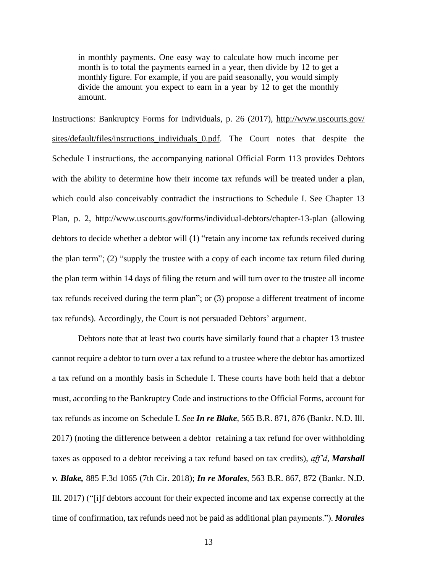in monthly payments. One easy way to calculate how much income per month is to total the payments earned in a year, then divide by 12 to get a monthly figure. For example, if you are paid seasonally, you would simply divide the amount you expect to earn in a year by 12 to get the monthly amount.

Instructions: Bankruptcy Forms for Individuals, p. 26 (2017), [http://www.uscourts.gov/](http://www.uscourts.gov/sites/default/files/instructions_individuals_0.pdf) [sites/default/files/instructions\\_individuals\\_0.pdf.](http://www.uscourts.gov/sites/default/files/instructions_individuals_0.pdf) The Court notes that despite the Schedule I instructions, the accompanying national Official Form 113 provides Debtors with the ability to determine how their income tax refunds will be treated under a plan, which could also conceivably contradict the instructions to Schedule I. See Chapter 13 Plan, p. 2, http://www.uscourts.gov/forms/individual-debtors/chapter-13-plan (allowing debtors to decide whether a debtor will (1) "retain any income tax refunds received during the plan term"; (2) "supply the trustee with a copy of each income tax return filed during the plan term within 14 days of filing the return and will turn over to the trustee all income tax refunds received during the term plan"; or (3) propose a different treatment of income tax refunds). Accordingly, the Court is not persuaded Debtors' argument.

Debtors note that at least two courts have similarly found that a chapter 13 trustee cannot require a debtor to turn over a tax refund to a trustee where the debtor has amortized a tax refund on a monthly basis in Schedule I. These courts have both held that a debtor must, according to the Bankruptcy Code and instructions to the Official Forms, account for tax refunds as income on Schedule I. *See In re Blake*, 565 B.R. 871, 876 (Bankr. N.D. Ill. 2017) (noting the difference between a debtor retaining a tax refund for over withholding taxes as opposed to a debtor receiving a tax refund based on tax credits), *aff'd*, *Marshall v. Blake,* 885 F.3d 1065 (7th Cir. 2018); *In re Morales*, 563 B.R. 867, 872 (Bankr. N.D. Ill. 2017) ("[i]f debtors account for their expected income and tax expense correctly at the time of confirmation, tax refunds need not be paid as additional plan payments."). *Morales*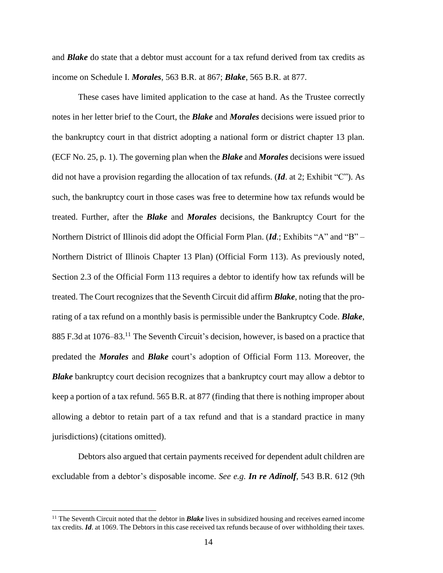and *Blake* do state that a debtor must account for a tax refund derived from tax credits as income on Schedule I. *Morales*, 563 B.R. at 867; *Blake*, 565 B.R. at 877.

These cases have limited application to the case at hand. As the Trustee correctly notes in her letter brief to the Court, the *Blake* and *Morales* decisions were issued prior to the bankruptcy court in that district adopting a national form or district chapter 13 plan. (ECF No. 25, p. 1). The governing plan when the *Blake* and *Morales* decisions were issued did not have a provision regarding the allocation of tax refunds. (*Id*. at 2; Exhibit "C"). As such, the bankruptcy court in those cases was free to determine how tax refunds would be treated. Further, after the *Blake* and *Morales* decisions, the Bankruptcy Court for the Northern District of Illinois did adopt the Official Form Plan. (*Id*.; Exhibits "A" and "B" – Northern District of Illinois Chapter 13 Plan) (Official Form 113). As previously noted, Section 2.3 of the Official Form 113 requires a debtor to identify how tax refunds will be treated. The Court recognizes that the Seventh Circuit did affirm *Blake*, noting that the prorating of a tax refund on a monthly basis is permissible under the Bankruptcy Code. *Blake*, 885 F.3d at 1076–83.<sup>11</sup> The Seventh Circuit's decision, however, is based on a practice that predated the *Morales* and *Blake* court's adoption of Official Form 113. Moreover, the *Blake* bankruptcy court decision recognizes that a bankruptcy court may allow a debtor to keep a portion of a tax refund. 565 B.R. at 877 (finding that there is nothing improper about allowing a debtor to retain part of a tax refund and that is a standard practice in many jurisdictions) (citations omitted).

Debtors also argued that certain payments received for dependent adult children are excludable from a debtor's disposable income. *See e.g. In re Adinolf*, 543 B.R. 612 (9th

<sup>&</sup>lt;sup>11</sup> The Seventh Circuit noted that the debtor in **Blake** lives in subsidized housing and receives earned income tax credits. *Id*. at 1069. The Debtors in this case received tax refunds because of over withholding their taxes.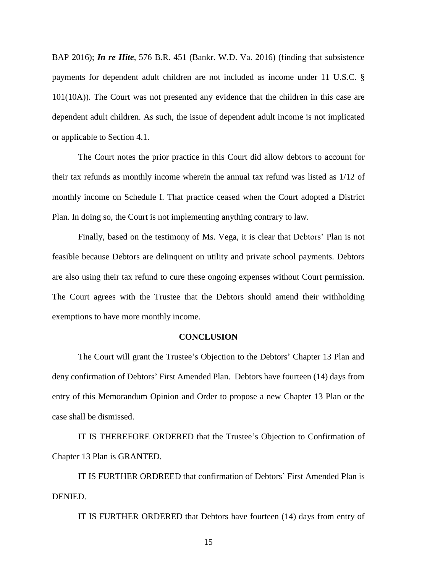BAP 2016); *In re Hite*, 576 B.R. 451 (Bankr. W.D. Va. 2016) (finding that subsistence payments for dependent adult children are not included as income under 11 U.S.C. § 101(10A)). The Court was not presented any evidence that the children in this case are dependent adult children. As such, the issue of dependent adult income is not implicated or applicable to Section 4.1.

The Court notes the prior practice in this Court did allow debtors to account for their tax refunds as monthly income wherein the annual tax refund was listed as 1/12 of monthly income on Schedule I. That practice ceased when the Court adopted a District Plan. In doing so, the Court is not implementing anything contrary to law.

Finally, based on the testimony of Ms. Vega, it is clear that Debtors' Plan is not feasible because Debtors are delinquent on utility and private school payments. Debtors are also using their tax refund to cure these ongoing expenses without Court permission. The Court agrees with the Trustee that the Debtors should amend their withholding exemptions to have more monthly income.

#### **CONCLUSION**

The Court will grant the Trustee's Objection to the Debtors' Chapter 13 Plan and deny confirmation of Debtors' First Amended Plan. Debtors have fourteen (14) days from entry of this Memorandum Opinion and Order to propose a new Chapter 13 Plan or the case shall be dismissed.

IT IS THEREFORE ORDERED that the Trustee's Objection to Confirmation of Chapter 13 Plan is GRANTED.

IT IS FURTHER ORDREED that confirmation of Debtors' First Amended Plan is DENIED.

IT IS FURTHER ORDERED that Debtors have fourteen (14) days from entry of

15